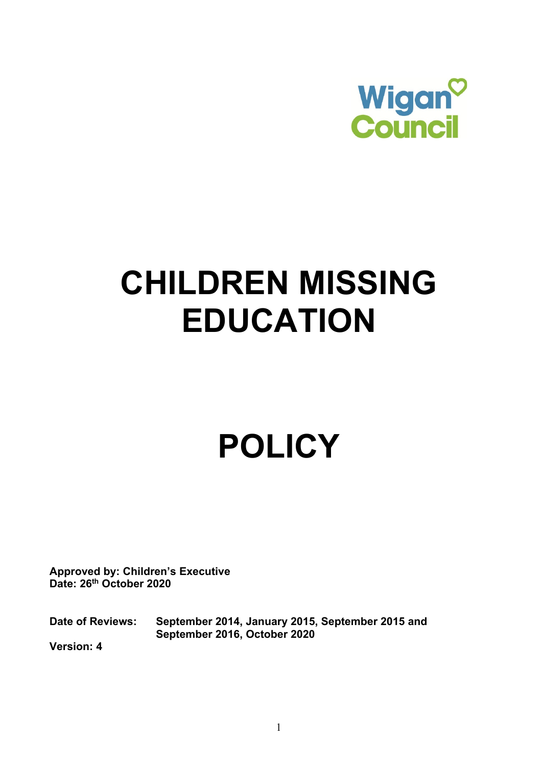

## **CHILDREN MISSING EDUCATION**

# **POLICY**

**Approved by: Children's Executive Date: 26th October 2020** 

**Date of Reviews: September 2016, October 2020**  September 2014, January 2015, September 2015 and

**Version: 4**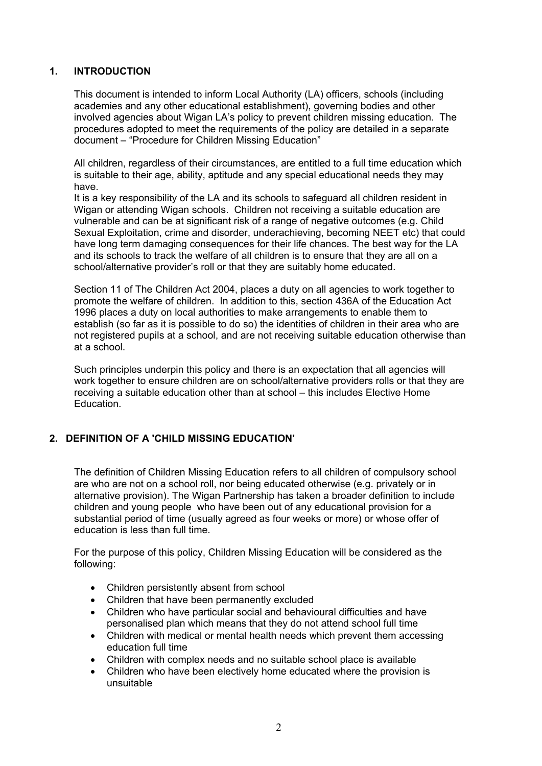#### **1. INTRODUCTION**

 academies and any other educational establishment), governing bodies and other This document is intended to inform Local Authority (LA) officers, schools (including involved agencies about Wigan LA's policy to prevent children missing education. The procedures adopted to meet the requirements of the policy are detailed in a separate document – "Procedure for Children Missing Education"

All children, regardless of their circumstances, are entitled to a full time education which is suitable to their age, ability, aptitude and any special educational needs they may have.

 Wigan or attending Wigan schools. Children not receiving a suitable education are vulnerable and can be at significant risk of a range of negative outcomes (e.g. Child Sexual Exploitation, crime and disorder, underachieving, becoming NEET etc) that could school/alternative provider's roll or that they are suitably home educated. It is a key responsibility of the LA and its schools to safeguard all children resident in have long term damaging consequences for their life chances. The best way for the LA and its schools to track the welfare of all children is to ensure that they are all on a

Section 11 of The Children Act 2004, places a duty on all agencies to work together to promote the welfare of children. In addition to this, section 436A of the Education Act 1996 places a duty on local authorities to make arrangements to enable them to establish (so far as it is possible to do so) the identities of children in their area who are not registered pupils at a school, and are not receiving suitable education otherwise than at a school.

 Such principles underpin this policy and there is an expectation that all agencies will work together to ensure children are on school/alternative providers rolls or that they are receiving a suitable education other than at school – this includes Elective Home Education.

#### **2. DEFINITION OF A 'CHILD MISSING EDUCATION'**

The definition of Children Missing Education refers to all children of compulsory school are who are not on a school roll, nor being educated otherwise (e.g. privately or in alternative provision). The Wigan Partnership has taken a broader definition to include children and young people who have been out of any educational provision for a substantial period of time (usually agreed as four weeks or more) or whose offer of education is less than full time.

For the purpose of this policy, Children Missing Education will be considered as the following:

- Children persistently absent from school
- Children that have been permanently excluded
- • Children who have particular social and behavioural difficulties and have personalised plan which means that they do not attend school full time
- education full time • Children with medical or mental health needs which prevent them accessing
- Children with complex needs and no suitable school place is available
- Children who have been electively home educated where the provision is unsuitable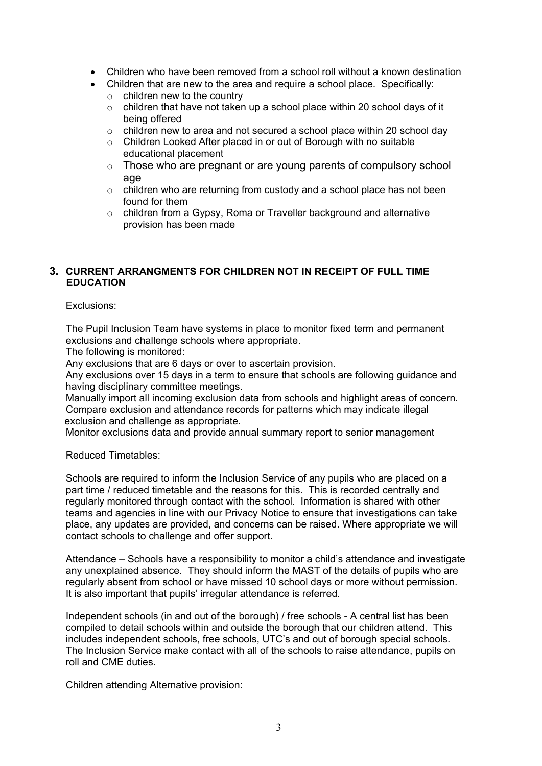- Children who have been removed from a school roll without a known destination
- Children that are new to the area and require a school place. Specifically:
	- $\circ$  children new to the country
	- $\circ$  children that have not taken up a school place within 20 school days of it being offered
	- $\circ$  children new to area and not secured a school place within 20 school day
	- $\circ$  Children Looked After placed in or out of Borough with no suitable educational placement
	- $\circ$  Those who are pregnant or are young parents of compulsory school age
	- $\circ$  children who are returning from custody and a school place has not been found for them
	- $\circ$  children from a Gypsy, Roma or Traveller background and alternative provision has been made

### **3. CURRENT ARRANGMENTS FOR CHILDREN NOT IN RECEIPT OF FULL TIME EDUCATION**

Exclusions:

The Pupil Inclusion Team have systems in place to monitor fixed term and permanent exclusions and challenge schools where appropriate.

The following is monitored:

Any exclusions that are 6 days or over to ascertain provision.

Any exclusions over 15 days in a term to ensure that schools are following guidance and having disciplinary committee meetings.

Manually import all incoming exclusion data from schools and highlight areas of concern. Compare exclusion and attendance records for patterns which may indicate illegal exclusion and challenge as appropriate.

Monitor exclusions data and provide annual summary report to senior management

Reduced Timetables:

 regularly monitored through contact with the school. Information is shared with other Schools are required to inform the Inclusion Service of any pupils who are placed on a part time / reduced timetable and the reasons for this. This is recorded centrally and teams and agencies in line with our Privacy Notice to ensure that investigations can take place, any updates are provided, and concerns can be raised. Where appropriate we will contact schools to challenge and offer support.

It is also important that pupils' irregular attendance is referred. Attendance – Schools have a responsibility to monitor a child's attendance and investigate any unexplained absence. They should inform the MAST of the details of pupils who are regularly absent from school or have missed 10 school days or more without permission.

It is also important that pupils' irregular attendance is referred.<br>Independent schools (in and out of the borough) / free schools - A central list has been compiled to detail schools within and outside the borough that our children attend. This includes independent schools, free schools, UTC's and out of borough special schools. The Inclusion Service make contact with all of the schools to raise attendance, pupils on roll and CME duties.

Children attending Alternative provision: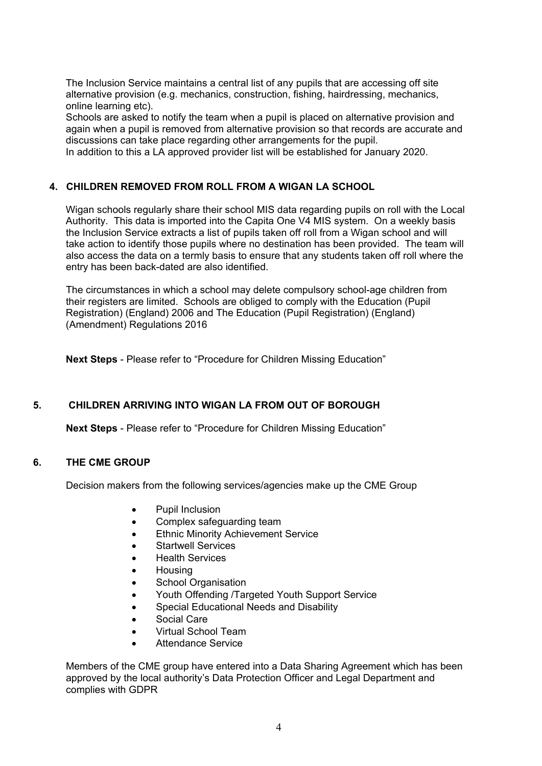The Inclusion Service maintains a central list of any pupils that are accessing off site alternative provision (e.g. mechanics, construction, fishing, hairdressing, mechanics, online learning etc).

 Schools are asked to notify the team when a pupil is placed on alternative provision and again when a pupil is removed from alternative provision so that records are accurate and discussions can take place regarding other arrangements for the pupil.

In addition to this a LA approved provider list will be established for January 2020.

#### **4. CHILDREN REMOVED FROM ROLL FROM A WIGAN LA SCHOOL**

 Wigan schools regularly share their school MIS data regarding pupils on roll with the Local Authority. This data is imported into the Capita One V4 MIS system. On a weekly basis the Inclusion Service extracts a list of pupils taken off roll from a Wigan school and will entry has been back-dated are also identified. take action to identify those pupils where no destination has been provided. The team will also access the data on a termly basis to ensure that any students taken off roll where the

 (Amendment) Regulations 2016 The circumstances in which a school may delete compulsory school-age children from their registers are limited. Schools are obliged to comply with the Education (Pupil Registration) (England) 2006 and The Education (Pupil Registration) (England)

**Next Steps** - Please refer to "Procedure for Children Missing Education"

#### **5. CHILDREN ARRIVING INTO WIGAN LA FROM OUT OF BOROUGH**

**Next Steps** - Please refer to "Procedure for Children Missing Education"

#### **6. THE CME GROUP**

Decision makers from the following services/agencies make up the CME Group

- Pupil Inclusion
- Complex safeguarding team
- **Ethnic Minority Achievement Service**
- Startwell Services
- Health Services
- Housing
- School Organisation
- Youth Offending /Targeted Youth Support Service
- Special Educational Needs and Disability
- Social Care
- Virtual School Team
- Attendance Service

Members of the CME group have entered into a Data Sharing Agreement which has been approved by the local authority's Data Protection Officer and Legal Department and complies with GDPR